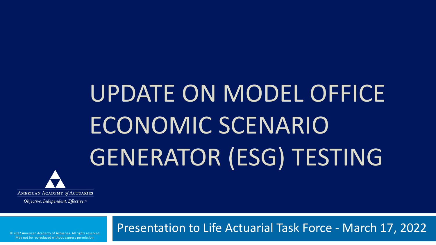# UPDATE ON MODEL OFFICE ECONOMIC SCENARIO GENERATOR (ESG) TESTING



Objective. Independent. Effective.™

Presentation to Life Actuarial Task Force - March 17, 2022

© 2022 American Academy of Actuaries. All rights reserved. May not be reproduced without express permission.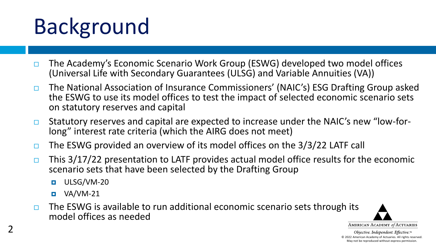# Background

- □ The Academy's Economic Scenario Work Group (ESWG) developed two model offices (Universal Life with Secondary Guarantees (ULSG) and Variable Annuities (VA))
- □ The National Association of Insurance Commissioners' (NAIC's) ESG Drafting Group asked the ESWG to use its model offices to test the impact of selected economic scenario sets on statutory reserves and capital
- □ Statutory reserves and capital are expected to increase under the NAIC's new "low-forlong" interest rate criteria (which the AIRG does not meet)
- $\Box$  The ESWG provided an overview of its model offices on the 3/3/22 LATF call
- $\Box$  This 3/17/22 presentation to LATF provides actual model office results for the economic scenario sets that have been selected by the Drafting Group
	- **D** ULSG/VM-20
	- $\blacksquare$  VA/VM-21
- $\Box$  The ESWG is available to run additional economic scenario sets through its model offices as needed

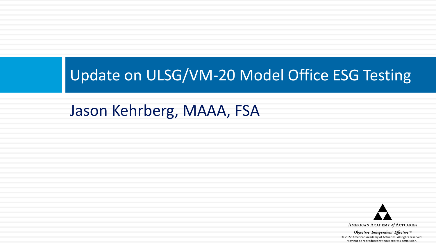#### Update on ULSG/VM-20 Model Office ESG Testing

#### Jason Kehrberg, MAAA, FSA

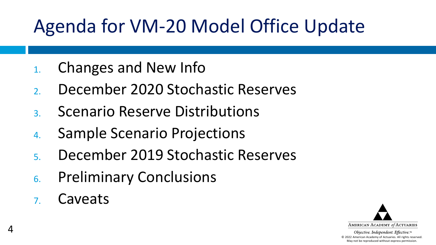#### Agenda for VM-20 Model Office Update

- 1. Changes and New Info
- 2. December 2020 Stochastic Reserves
- 3. Scenario Reserve Distributions
- 4. Sample Scenario Projections
- 5. December 2019 Stochastic Reserves
- 6. Preliminary Conclusions
- 7. Caveats

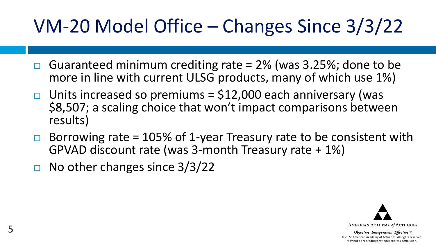#### VM-20 Model Office – Changes Since 3/3/22

- Guaranteed minimum crediting rate = 2% (was 3.25%; done to be more in line with current ULSG products, many of which use 1%)
- $\Box$  Units increased so premiums = \$12,000 each anniversary (was \$8,507; a scaling choice that won't impact comparisons between results)
- Borrowing rate = 105% of 1-year Treasury rate to be consistent with GPVAD discount rate (was 3-month Treasury rate + 1%)
- $\Box$  No other changes since 3/3/22

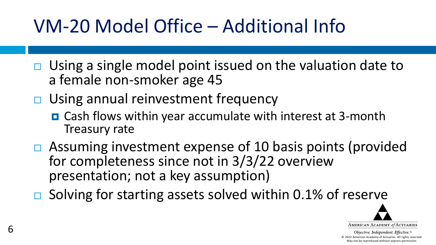#### VM-20 Model Office – Additional Info

- $\Box$  Using a single model point issued on the valuation date to a female non-smoker age 45
- **□** Using annual reinvestment frequency
	- Cash flows within year accumulate with interest at 3-month Treasury rate
- $\Box$  Assuming investment expense of 10 basis points (provided for completeness since not in 3/3/22 overview presentation; not a key assumption)
- $\Box$  Solving for starting assets solved within 0.1% of reserve

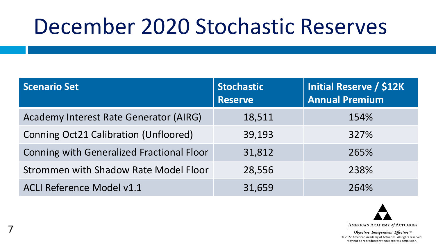## December 2020 Stochastic Reserves

| <b>Scenario Set</b>                          | <b>Stochastic</b><br><b>Reserve</b> | Initial Reserve / \$12K<br><b>Annual Premium</b> |
|----------------------------------------------|-------------------------------------|--------------------------------------------------|
| Academy Interest Rate Generator (AIRG)       | 18,511                              | 154%                                             |
| <b>Conning Oct21 Calibration (Unfloored)</b> | 39,193                              | 327%                                             |
| Conning with Generalized Fractional Floor    | 31,812                              | 265%                                             |
| Strommen with Shadow Rate Model Floor        | 28,556                              | 238%                                             |
| ACLI Reference Model v1.1                    | 31,659                              | 264%                                             |

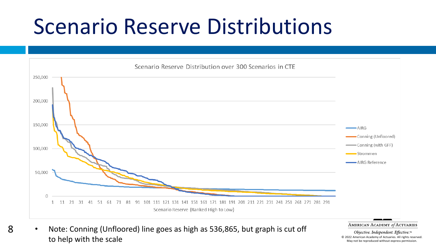### Scenario Reserve Distributions



• Note: Conning (Unfloored) line goes as high as 536,865, but graph is cut off to help with the scale

8

AMERICAN ACADEMY of ACTUARIES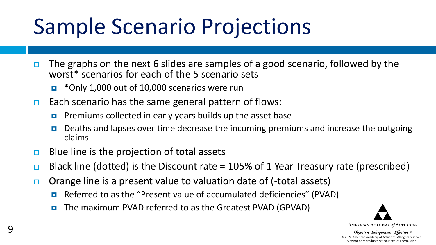# Sample Scenario Projections

- $\Box$  The graphs on the next 6 slides are samples of a good scenario, followed by the worst\* scenarios for each of the 5 scenario sets
	- **D** \*Only 1,000 out of 10,000 scenarios were run
- $\Box$  Each scenario has the same general pattern of flows:
	- **P** Premiums collected in early years builds up the asset base
	- Deaths and lapses over time decrease the incoming premiums and increase the outgoing claims
- $\Box$  Blue line is the projection of total assets
- $\Box$  Black line (dotted) is the Discount rate = 105% of 1 Year Treasury rate (prescribed)
- $\Box$  Orange line is a present value to valuation date of (-total assets)
	- Referred to as the "Present value of accumulated deficiencies" (PVAD)
	- The maximum PVAD referred to as the Greatest PVAD (GPVAD)

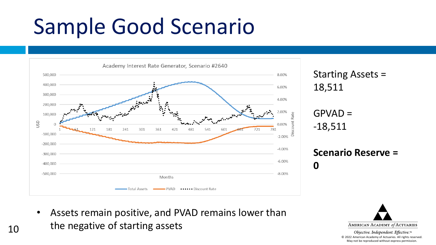# Sample Good Scenario



Starting Assets = 18,511

 $GPVAD =$ -18,511

#### **Scenario Reserve = 0**

• Assets remain positive, and PVAD remains lower than the negative of starting assets

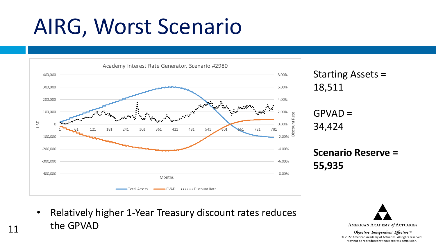## AIRG, Worst Scenario



Starting Assets = 18,511

 $GPVAD =$ 34,424

#### **Scenario Reserve = 55,935**

• Relatively higher 1-Year Treasury discount rates reduces the GPVAD



Objective. Independent. Effective.™ © 2022 American Academy of Actuaries. All rights reserved. May not be reproduced without express permission.

11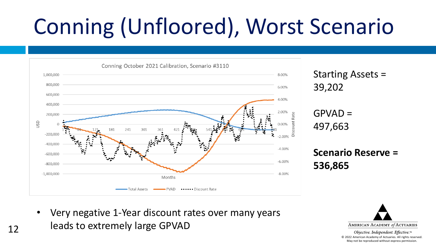# Conning (Unfloored), Worst Scenario



Starting Assets = 39,202

 $GPVAD =$ 497,663

**Scenario Reserve = 536,865**

• Very negative 1-Year discount rates over many years leads to extremely large GPVAD

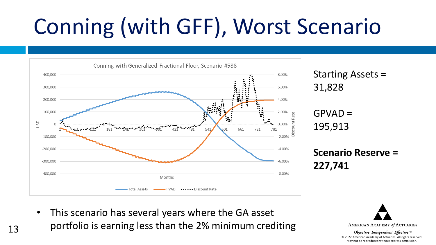# Conning (with GFF), Worst Scenario



Starting Assets = 31,828

 $GPVAD =$ 195,913

**Scenario Reserve = 227,741**

• This scenario has several years where the GA asset portfolio is earning less than the 2% minimum crediting

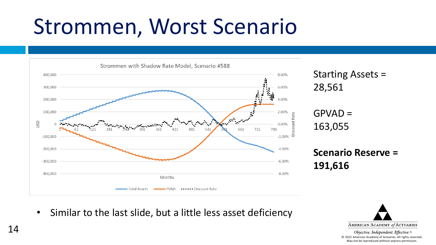# Strommen, Worst Scenario



Starting Assets = 28,561

 $GPVAD =$ 163,055

#### **Scenario Reserve = 191,616**

• Similar to the last slide, but a little less asset deficiency

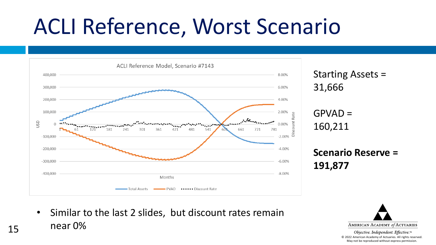# ACLI Reference, Worst Scenario



Starting Assets = 31,666

 $GPVAD =$ 160,211

#### **Scenario Reserve = 191,877**

• Similar to the last 2 slides, but discount rates remain near 0%

15

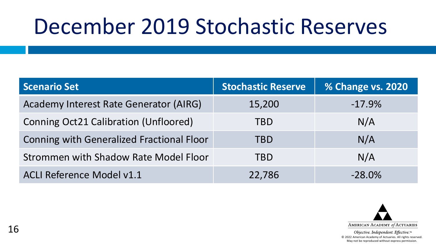## December 2019 Stochastic Reserves

| Scenario Set                              | <b>Stochastic Reserve</b> | % Change vs. 2020 |
|-------------------------------------------|---------------------------|-------------------|
| Academy Interest Rate Generator (AIRG)    | 15,200                    | $-17.9%$          |
| Conning Oct21 Calibration (Unfloored)     | TBD                       | N/A               |
| Conning with Generalized Fractional Floor | <b>TBD</b>                | N/A               |
| Strommen with Shadow Rate Model Floor     | TBD                       | N/A               |
| <b>ACLI Reference Model v1.1</b>          | 22,786                    | $-28.0\%$         |

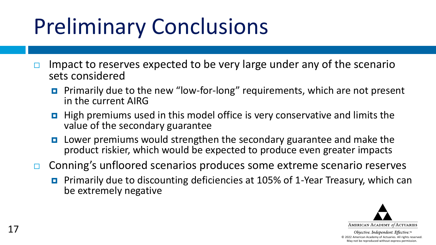# Preliminary Conclusions

- Impact to reserves expected to be very large under any of the scenario sets considered
	- **Primarily due to the new "low-for-long" requirements, which are not present** in the current AIRG
	- **High premiums used in this model office is very conservative and limits the** value of the secondary guarantee
	- **E** Lower premiums would strengthen the secondary guarantee and make the product riskier, which would be expected to produce even greater impacts
- □ Conning's unfloored scenarios produces some extreme scenario reserves
	- **Primarily due to discounting deficiencies at 105% of 1-Year Treasury, which can** be extremely negative

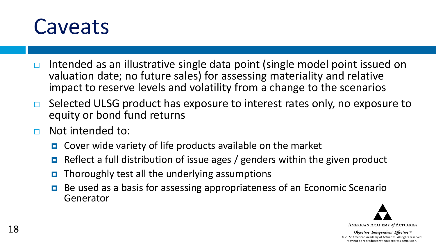

- $\Box$  Intended as an illustrative single data point (single model point issued on valuation date; no future sales) for assessing materiality and relative impact to reserve levels and volatility from a change to the scenarios
- $\Box$  Selected ULSG product has exposure to interest rates only, no exposure to equity or bond fund returns
- Not intended to:
	- Cover wide variety of life products available on the market
	- Reflect a full distribution of issue ages / genders within the given product
	- Thoroughly test all the underlying assumptions
	- Be used as a basis for assessing appropriateness of an Economic Scenario Generator

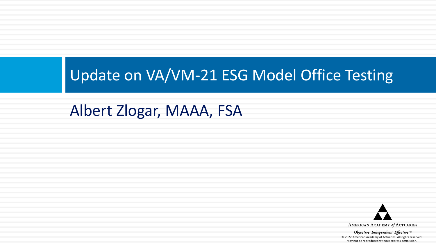#### Update on VA/VM-21 ESG Model Office Testing

#### Albert Zlogar, MAAA, FSA

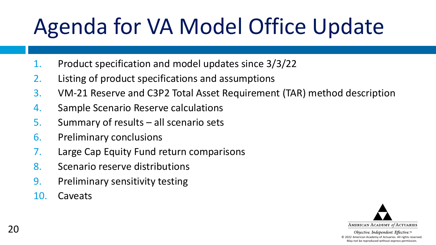# Agenda for VA Model Office Update

- 1. Product specification and model updates since 3/3/22
- 2. Listing of product specifications and assumptions
- 3. VM-21 Reserve and C3P2 Total Asset Requirement (TAR) method description
- 4. Sample Scenario Reserve calculations
- 5. Summary of results all scenario sets
- 6. Preliminary conclusions
- 7. Large Cap Equity Fund return comparisons
- 8. Scenario reserve distributions
- 9. Preliminary sensitivity testing
- 10. Caveats

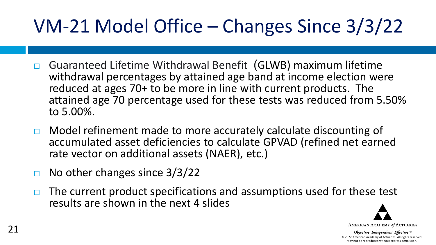### VM-21 Model Office – Changes Since 3/3/22

- Guaranteed Lifetime Withdrawal Benefit (GLWB) maximum lifetime withdrawal percentages by attained age band at income election were reduced at ages 70+ to be more in line with current products. The attained age 70 percentage used for these tests was reduced from 5.50% to 5.00%.
- $\Box$  Model refinement made to more accurately calculate discounting of accumulated asset deficiencies to calculate GPVAD (refined net earned rate vector on additional assets (NAER), etc.)
- $\Box$  No other changes since 3/3/22
- $\Box$  The current product specifications and assumptions used for these test results are shown in the next 4 slides

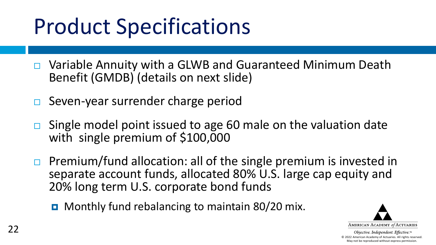# Product Specifications

- Variable Annuity with a GLWB and Guaranteed Minimum Death Benefit (GMDB) (details on next slide)
- $\Box$  Seven-year surrender charge period
- Single model point issued to age 60 male on the valuation date with single premium of \$100,000
- **Premium/fund allocation: all of the single premium is invested in** separate account funds, allocated 80% U.S. large cap equity and 20% long term U.S. corporate bond funds
	- **D** Monthly fund rebalancing to maintain 80/20 mix.

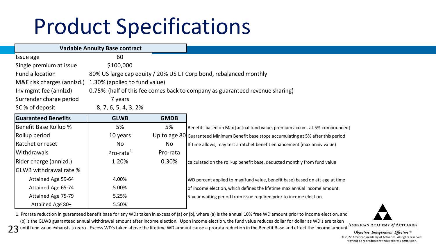# Product Specifications

|                            | <b>Variable Annuity Base contract</b> |             |                                                                                         |
|----------------------------|---------------------------------------|-------------|-----------------------------------------------------------------------------------------|
| Issue age                  | 60                                    |             |                                                                                         |
| Single premium at issue    | \$100,000                             |             |                                                                                         |
| Fund allocation            |                                       |             | 80% US large cap equity / 20% US LT Corp bond, rebalanced monthly                       |
| M&E risk charges (annizd.) | 1.30% (applied to fund value)         |             |                                                                                         |
| Inv mgmt fee (annizd)      |                                       |             | 0.75% (half of this fee comes back to company as guaranteed revenue sharing)            |
| Surrender charge period    | 7 years                               |             |                                                                                         |
| SC% of deposit             | 8, 7, 6, 5, 4, 3, 2%                  |             |                                                                                         |
| <b>Guaranteed Benefits</b> | <b>GLWB</b>                           | <b>GMDB</b> |                                                                                         |
| Benefit Base Rollup %      | 5%                                    | 5%          | Benefits based on Max [actual fund value, premium accum. at 5% compounded]              |
| Rollup period              | 10 years                              |             | Up to age 80 Guaranteed Minimum Benefit base stops accumulating at 5% after this period |
| Ratchet or reset           | No.                                   | No          | If time allows, may test a ratchet benefit enhancement (max anniv value)                |
| lWithdrawals               | Pro-rata <sup>1</sup>                 | Pro-rata    |                                                                                         |
| Rider charge (annizd.)     | 1.20%                                 | 0.30%       | calculated on the roll-up benefit base, deducted monthly from fund value                |
| lGLWB withdrawal rate %    |                                       |             |                                                                                         |
| Attained Age 59-64         | 4.00%                                 |             | WD percent applied to max(fund value, benefit base) based on att age at time            |
| Attained Age 65-74         | 5.00%                                 |             | of income election, which defines the lifetime max annual income amount.                |
| Attained Age 75-79         | 5.25%                                 |             | 5-year waiting period from issue required prior to income election.                     |
| Attained Age 80+           | 5.50%                                 |             |                                                                                         |

1. Prorata reduction in guaranteed benefit base for any WDs taken in excess of (a) or (b), where (a) is the annual 10% free WD amount prior to income election, and (b) is the GLWB guaranteed annual withdrawal amount after income election. Upon income election, the fund value reduces dollar for dollar as WD's are taken

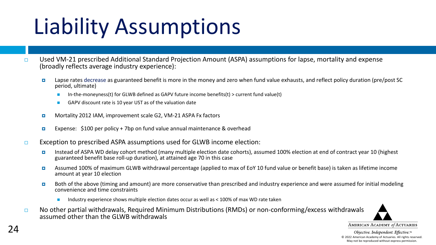# Liability Assumptions

- Used VM-21 prescribed Additional Standard Projection Amount (ASPA) assumptions for lapse, mortality and expense (broadly reflects average industry experience):
	- Lapse rates decrease as guaranteed benefit is more in the money and zero when fund value exhausts, and reflect policy duration (pre/post SC period, ultimate)
		- In-the-moneyness(t) for GLWB defined as GAPV future income benefits(t) > current fund value(t)
		- GAPV discount rate is 10 year UST as of the valuation date
	- Mortality 2012 IAM, improvement scale G2, VM-21 ASPA Fx factors
	- **Expense:** \$100 per policy + 7bp on fund value annual maintenance & overhead
- $\Box$  Exception to prescribed ASPA assumptions used for GLWB income election:
	- Instead of ASPA WD delay cohort method (many multiple election date cohorts), assumed 100% election at end of contract year 10 (highest guaranteed benefit base roll-up duration), at attained age 70 in this case
	- Assumed 100% of maximum GLWB withdrawal percentage (applied to max of EoY 10 fund value or benefit base) is taken as lifetime income amount at year 10 election
	- Both of the above (timing and amount) are more conservative than prescribed and industry experience and were assumed for initial modeling convenience and time constraints
		- Industry experience shows multiple election dates occur as well as < 100% of max WD rate taken
- $\Box$  No other partial withdrawals, Required Minimum Distributions (RMDs) or non-conforming/excess withdrawals assumed other than the GLWB withdrawals

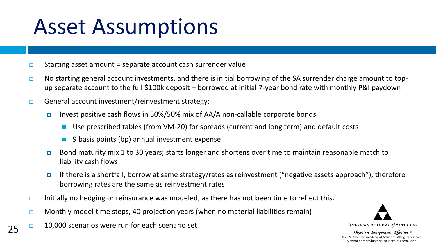## Asset Assumptions

- $\Box$  Starting asset amount = separate account cash surrender value
- □ No starting general account investments, and there is initial borrowing of the SA surrender charge amount to topup separate account to the full \$100k deposit – borrowed at initial 7-year bond rate with monthly P&I paydown
- $\Box$  General account investment/reinvestment strategy:
	- Invest positive cash flows in 50%/50% mix of AA/A non-callable corporate bonds
		- Use prescribed tables (from VM-20) for spreads (current and long term) and default costs
		- 9 basis points (bp) annual investment expense
	- Bond maturity mix 1 to 30 years; starts longer and shortens over time to maintain reasonable match to liability cash flows
	- If there is a shortfall, borrow at same strategy/rates as reinvestment ("negative assets approach"), therefore borrowing rates are the same as reinvestment rates
- Initially no hedging or reinsurance was modeled, as there has not been time to reflect this.
- $\Box$  Monthly model time steps, 40 projection years (when no material liabilities remain)
- $\Box$  10,000 scenarios were run for each scenario set

25

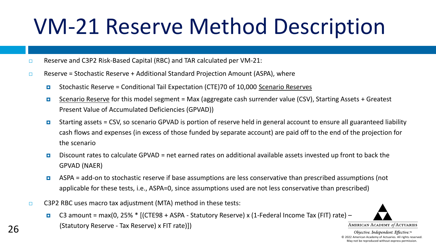# VM-21 Reserve Method Description

- □ Reserve and C3P2 Risk-Based Capital (RBC) and TAR calculated per VM-21:
- **Reserve = Stochastic Reserve + Additional Standard Projection Amount (ASPA), where** 
	- Stochastic Reserve = Conditional Tail Expectation (CTE)70 of 10,000 Scenario Reserves
	- Scenario Reserve for this model segment = Max (aggregate cash surrender value (CSV), Starting Assets + Greatest Present Value of Accumulated Deficiencies (GPVAD))
	- Starting assets = CSV, so scenario GPVAD is portion of reserve held in general account to ensure all guaranteed liability cash flows and expenses (in excess of those funded by separate account) are paid off to the end of the projection for the scenario
	- Discount rates to calculate GPVAD = net earned rates on additional available assets invested up front to back the GPVAD (NAER)
	- ASPA = add-on to stochastic reserve if base assumptions are less conservative than prescribed assumptions (not applicable for these tests, i.e., ASPA=0, since assumptions used are not less conservative than prescribed)
- C3P2 RBC uses macro tax adjustment (MTA) method in these tests:
	- C3 amount = max(0, 25%  $*$  [(CTE98 + ASPA Statutory Reserve) x (1-Federal Income Tax (FIT) rate) (Statutory Reserve - Tax Reserve) x FIT rate)])



AMERICAN ACADEMY of ACTUARIES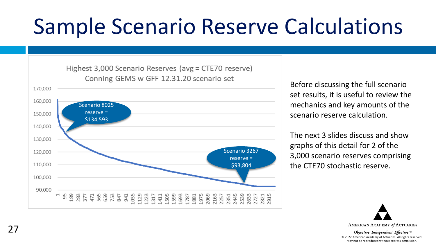# Sample Scenario Reserve Calculations



Before discussing the full scenario set results, it is useful to review the mechanics and key amounts of the scenario reserve calculation.

The next 3 slides discuss and show graphs of this detail for 2 of the 3,000 scenario reserves comprising the CTE70 stochastic reserve.

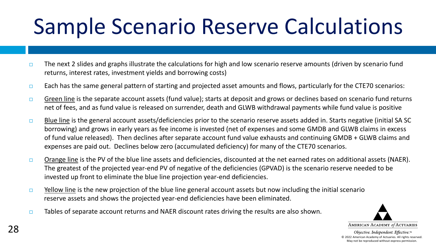# Sample Scenario Reserve Calculations

- $\Box$  The next 2 slides and graphs illustrate the calculations for high and low scenario reserve amounts (driven by scenario fund returns, interest rates, investment yields and borrowing costs)
- $\Box$  Each has the same general pattern of starting and projected asset amounts and flows, particularly for the CTE70 scenarios:
- Green line is the separate account assets (fund value); starts at deposit and grows or declines based on scenario fund returns net of fees, and as fund value is released on surrender, death and GLWB withdrawal payments while fund value is positive
- **Blue line** is the general account assets/deficiencies prior to the scenario reserve assets added in. Starts negative (initial SA SC) borrowing) and grows in early years as fee income is invested (net of expenses and some GMDB and GLWB claims in excess of fund value released). Then declines after separate account fund value exhausts and continuing GMDB + GLWB claims and expenses are paid out. Declines below zero (accumulated deficiency) for many of the CTE70 scenarios.
- Orange line is the PV of the blue line assets and deficiencies, discounted at the net earned rates on additional assets (NAER). The greatest of the projected year-end PV of negative of the deficiencies (GPVAD) is the scenario reserve needed to be invested up front to eliminate the blue line projection year-end deficiencies.
- $\Box$  Yellow line is the new projection of the blue line general account assets but now including the initial scenario reserve assets and shows the projected year-end deficiencies have been eliminated.
- $\Box$  Tables of separate account returns and NAER discount rates driving the results are also shown.

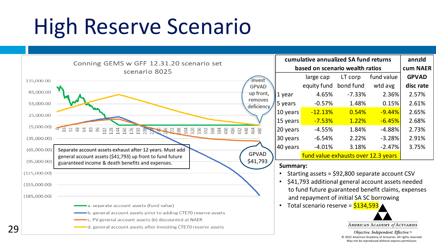## High Reserve Scenario

29

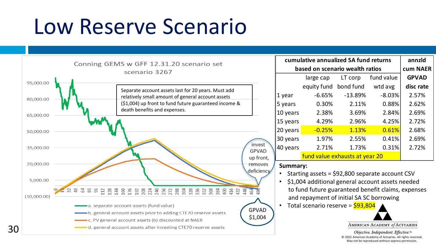### Low Reserve Scenario



| cumulative annualized SA fund returns            | annzld                                             |           |            |              |  |  |  |  |  |  |
|--------------------------------------------------|----------------------------------------------------|-----------|------------|--------------|--|--|--|--|--|--|
| based on scenario wealth ratios                  | cum NAER                                           |           |            |              |  |  |  |  |  |  |
|                                                  | large cap                                          | LT corp   | fund value | <b>GPVAD</b> |  |  |  |  |  |  |
|                                                  | equity fund                                        | bond fund | wtd avg    | disc rate    |  |  |  |  |  |  |
| 1 year                                           | -6.65%                                             | -13.89%   | $-8.03%$   | 2.57%        |  |  |  |  |  |  |
| 5 years                                          | 0.30%                                              | 2.11%     | 0.88%      | 2.62%        |  |  |  |  |  |  |
| 10 years                                         | 2.38%                                              | 3.69%     | 2.84%      | 2.69%        |  |  |  |  |  |  |
| 15 years                                         | 4.29%                                              | 2.96%     | 4.25%      | 2.72%        |  |  |  |  |  |  |
| 20 years                                         | $-0.25%$                                           | 1.13%     | 0.61%      | 2.68%        |  |  |  |  |  |  |
| 30 years                                         | 1.97%                                              | 2.55%     | 0.41%      | 2.69%        |  |  |  |  |  |  |
| 40 years                                         | 2.71%                                              | 1.73%     | 0.31%      | 2.72%        |  |  |  |  |  |  |
|                                                  | fund value exhausts at year 20                     |           |            |              |  |  |  |  |  |  |
| Summary:                                         |                                                    |           |            |              |  |  |  |  |  |  |
|                                                  | Starting assets = \$92,800 separate account CSV    |           |            |              |  |  |  |  |  |  |
| \$1,004 additional general account assets needed |                                                    |           |            |              |  |  |  |  |  |  |
|                                                  | to fund future guaranteed benefit claims, expenses |           |            |              |  |  |  |  |  |  |
|                                                  | and repayment of initial SA SC borrowing           |           |            |              |  |  |  |  |  |  |
|                                                  | Total scenario reserve = \$93,804                  |           |            |              |  |  |  |  |  |  |

#### **Summary:**

- Starting assets = \$92,800 separate account CSV
- \$1,004 additional general account assets needed to fund future guaranteed benefit claims, expenses and repayment of initial SA SC borrowing
- 

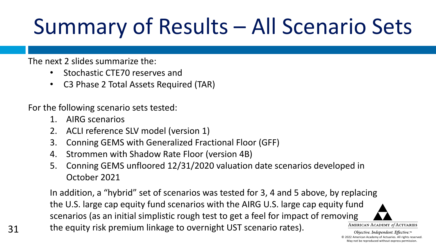# Summary of Results – All Scenario Sets

#### The next 2 slides summarize the:

- Stochastic CTE70 reserves and
- C3 Phase 2 Total Assets Required (TAR)

For the following scenario sets tested:

- 1. AIRG scenarios
- 2. ACLI reference SLV model (version 1)
- 3. Conning GEMS with Generalized Fractional Floor (GFF)
- 4. Strommen with Shadow Rate Floor (version 4B)
- 5. Conning GEMS unfloored 12/31/2020 valuation date scenarios developed in October 2021

In addition, a "hybrid" set of scenarios was tested for 3, 4 and 5 above, by replacing the U.S. large cap equity fund scenarios with the AIRG U.S. large cap equity fund scenarios (as an initial simplistic rough test to get a feel for impact of removing AMERICAN ACADEMY of ACTUARIES the equity risk premium linkage to overnight UST scenario rates).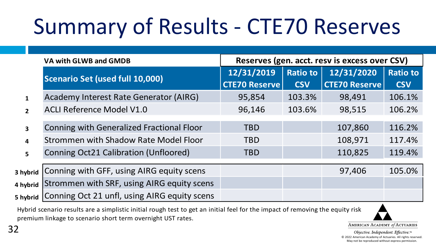# Summary of Results - CTE70 Reserves

|              | VA with GLWB and GMDB                        | Reserves (gen. acct. resv is excess over CSV) |                 |                      |                 |  |  |  |
|--------------|----------------------------------------------|-----------------------------------------------|-----------------|----------------------|-----------------|--|--|--|
|              |                                              | 12/31/2019                                    | <b>Ratio to</b> | 12/31/2020           | <b>Ratio to</b> |  |  |  |
|              | Scenario Set (used full 10,000)              | <b>CTE70 Reserve</b>                          | <b>CSV</b>      | <b>CTE70 Reserve</b> | <b>CSV</b>      |  |  |  |
|              | Academy Interest Rate Generator (AIRG)       | 95,854                                        | 103.3%          | 98,491               | 106.1%          |  |  |  |
| $\mathbf{2}$ | <b>ACLI Reference Model V1.0</b>             | 96,146                                        | 103.6%          | 98,515               | 106.2%          |  |  |  |
|              |                                              |                                               |                 |                      |                 |  |  |  |
| 3            | Conning with Generalized Fractional Floor    | <b>TBD</b>                                    |                 | 107,860              | 116.2%          |  |  |  |
| 4            | Strommen with Shadow Rate Model Floor        | <b>TBD</b>                                    |                 | 108,971              | 117.4%          |  |  |  |
| 5            | <b>Conning Oct21 Calibration (Unfloored)</b> | <b>TBD</b>                                    |                 | 110,825              | 119.4%          |  |  |  |
|              |                                              |                                               |                 |                      |                 |  |  |  |
| 3 hybrid     | Conning with GFF, using AIRG equity scens    |                                               |                 | 97,406               | 105.0%          |  |  |  |
| 4 hybrid     | Strommen with SRF, using AIRG equity scens   |                                               |                 |                      |                 |  |  |  |
| 5 hybrid     | Conning Oct 21 unfl, using AIRG equity scens |                                               |                 |                      |                 |  |  |  |

 Hybrid scenario results are a simplistic initial rough test to get an initial feel for the impact of removing the equity risk premium linkage to scenario short term overnight UST rates.

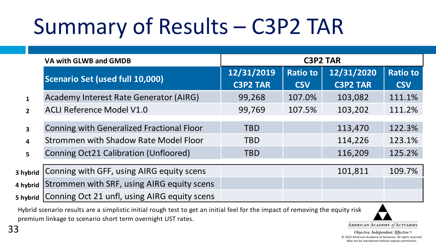# Summary of Results – C3P2 TAR

|              | VA with GLWB and GMDB                                                              | <b>C3P2 TAR</b>               |                               |                               |                               |  |  |  |  |
|--------------|------------------------------------------------------------------------------------|-------------------------------|-------------------------------|-------------------------------|-------------------------------|--|--|--|--|
|              | Scenario Set (used full 10,000)                                                    | 12/31/2019<br><b>C3P2 TAR</b> | <b>Ratio to</b><br><b>CSV</b> | 12/31/2020<br><b>C3P2 TAR</b> | <b>Ratio to</b><br><b>CSV</b> |  |  |  |  |
| 1            | Academy Interest Rate Generator (AIRG)                                             | 99,268                        | 107.0%                        | 103,082                       | 111.1%                        |  |  |  |  |
| $\mathbf{p}$ | <b>ACLI Reference Model V1.0</b>                                                   | 99,769                        | 107.5%                        | 103,202                       | 111.2%                        |  |  |  |  |
| 3            | Conning with Generalized Fractional Floor<br>Strommen with Shadow Rate Model Floor | <b>TBD</b><br><b>TBD</b>      |                               | 113,470<br>114,226            | 122.3%<br>123.1%              |  |  |  |  |
| 4<br>5.      | Conning Oct21 Calibration (Unfloored)                                              | <b>TBD</b>                    |                               | 116,209                       | 125.2%                        |  |  |  |  |
| 3 hybrid     | Conning with GFF, using AIRG equity scens                                          |                               |                               | 101,811                       | 109.7%                        |  |  |  |  |
| 4 hybrid     | Strommen with SRF, using AIRG equity scens                                         |                               |                               |                               |                               |  |  |  |  |
| 5 hybrid     | Conning Oct 21 unfl, using AIRG equity scens                                       |                               |                               |                               |                               |  |  |  |  |

 Hybrid scenario results are a simplistic initial rough test to get an initial feel for the impact of removing the equity risk premium linkage to scenario short term overnight UST rates.

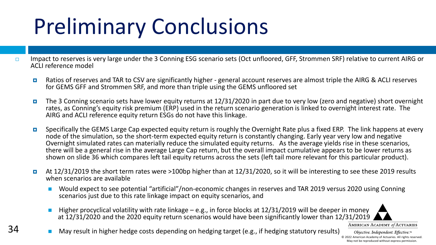# Preliminary Conclusions

- Impact to reserves is very large under the 3 Conning ESG scenario sets (Oct unfloored, GFF, Strommen SRF) relative to current AIRG or ACLI reference model
	- Ratios of reserves and TAR to CSV are significantly higher general account reserves are almost triple the AIRG & ACLI reserves for GEMS GFF and Strommen SRF, and more than triple using the GEMS unfloored set
	- The 3 Conning scenario sets have lower equity returns at 12/31/2020 in part due to very low (zero and negative) short overnight rates, as Conning's equity risk premium (ERP) used in the return scenario generation is linked to overnight interest rate. The AIRG and ACLI reference equity return ESGs do not have this linkage.
	- Specifically the GEMS Large Cap expected equity return is roughly the Overnight Rate plus a fixed ERP. The link happens at every node of the simulation, so the short-term expected equity return is constantly changing. Early year very low and negative Overnight simulated rates can materially reduce the simulated equity returns. As the average yields rise in these scenarios, there will be a general rise in the average Large Cap return, but the overall impact cumulative appears to be lower returns as shown on slide 36 which compares left tail equity returns across the sets (left tail more relevant for this particular product).
	- At 12/31/2019 the short term rates were >100bp higher than at 12/31/2020, so it will be interesting to see these 2019 results when scenarios are available
		- Would expect to see potential "artificial"/non-economic changes in reserves and TAR 2019 versus 2020 using Conning scenarios just due to this rate linkage impact on equity scenarios, and
		- Higher procyclical volatility with rate linkage e.g., in force blocks at 12/31/2019 will be deeper in money at 12/31/2020 and the 2020 equity return scenarios would have been significantly lower than 12/31/2019

AMERICAN ACADEMY of ACTUARIES

34 ■ May result in higher hedge costs depending on hedging target (e.g., if hedging statutory results)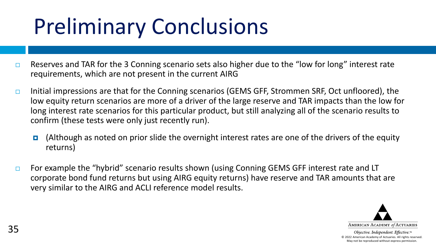# Preliminary Conclusions

- $\Box$  Reserves and TAR for the 3 Conning scenario sets also higher due to the "low for long" interest rate requirements, which are not present in the current AIRG
- Initial impressions are that for the Conning scenarios (GEMS GFF, Strommen SRF, Oct unfloored), the low equity return scenarios are more of a driver of the large reserve and TAR impacts than the low for long interest rate scenarios for this particular product, but still analyzing all of the scenario results to confirm (these tests were only just recently run).
	- $\blacksquare$  (Although as noted on prior slide the overnight interest rates are one of the drivers of the equity returns)
- $\Box$  For example the "hybrid" scenario results shown (using Conning GEMS GFF interest rate and LT corporate bond fund returns but using AIRG equity returns) have reserve and TAR amounts that are very similar to the AIRG and ACLI reference model results.

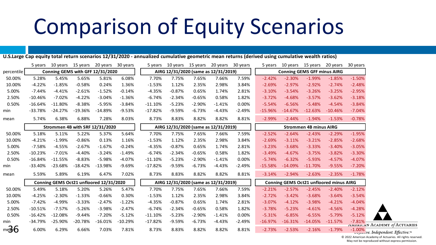### Comparison of Equity Scenarios

**U.S.Large Cap equity total return scenarios 12/31/2020 - annualized cumulative geometric mean returns (derived using cumulative wealth ratios)**

|            | 5 years   | 10 years  | 15 years  | 20 years                                | 30 years  | 5 years   | 10 years                             | 15 years | 20 years                             | 30 years | 5 years                                 | 10 years  | 15 years  | 20 years  | 30 years                        |
|------------|-----------|-----------|-----------|-----------------------------------------|-----------|-----------|--------------------------------------|----------|--------------------------------------|----------|-----------------------------------------|-----------|-----------|-----------|---------------------------------|
| percentile |           |           |           | Conning GEMS with GFF 12/31/2020        |           |           | AIRG 12/31/2020 (same as 12/31/2019) |          |                                      |          | <b>Conning GEMS GFF minus AIRG</b>      |           |           |           |                                 |
| 50.00%     | 5.28%     | 5.45%     | 5.65%     | 5.81%                                   | 6.08%     | 7.70%     | 7.75%                                | 7.65%    | 7.66%                                | 7.59%    | $-2.42%$                                | $-2.30%$  | $-1.99%$  | $-1.85%$  | $-1.50%$                        |
| 10.00%     | $-4.22%$  | $-1.85%$  | $-0.58%$  | 0.24%                                   | 1.36%     | $-1.53%$  | 1.12%                                | 2.35%    | 2.98%                                | 3.84%    | $-2.69%$                                | $-2.97%$  | $-2.92%$  | $-2.74%$  | $-2.48%$                        |
| 5.00%      | $-7.44%$  | $-4.41%$  | $-2.61%$  | $-1.52%$                                | $-0.14%$  | $-4.35%$  | $-0.87%$                             | 0.65%    | 1.74%                                | 2.81%    | $-3.10%$                                | $-3.54%$  | $-3.26%$  | $-3.25%$  | $-2.95%$                        |
| 2.50%      | $-10.46%$ | $-7.02%$  | $-4.22%$  | $-3.04%$                                | $-1.36%$  | $-6.74%$  | $-2.34%$                             | $-0.65%$ | 0.58%                                | 1.82%    | $-3.72%$                                | $-4.68%$  | $-3.57%$  | $-3.62%$  | $-3.18%$                        |
| 0.50%      | $-16.64%$ | $-11.80%$ | $-8.38%$  | $-5.95%$                                | $-3.84%$  | $-11.10%$ | $-5.23%$                             | $-2.90%$ | $-1.41%$                             | 0.00%    | $-5.54%$                                | $-6.56%$  | $-5.48%$  | $-4.54%$  | $-3.84%$                        |
| min        | $-33.78%$ | $-24.27%$ | $-19.36%$ | $-14.89%$                               | $-9.53%$  | $-17.82%$ | $-9.59%$                             | $-6.73%$ | $-4.43%$                             | $-2.49%$ | $-15.96%$                               | $-14.67%$ | $-12.63%$ | $-10.46%$ | $-7.04%$                        |
| mean       | 5.74%     | 6.38%     | 6.88%     | 7.28%                                   | 8.03%     | 8.73%     | 8.83%                                | 8.82%    | 8.82%                                | 8.81%    | $-2.99%$                                | $-2.44%$  | $-1.94%$  | $-1.53%$  | $-0.78%$                        |
|            |           |           |           | Strommen 4B with SRF 12/31/2020         |           |           |                                      |          | AIRG 12/31/2020 (same as 12/31/2019) |          | <b>Strommen 4B minus AIRG</b>           |           |           |           |                                 |
| 50.00%     | 5.18%     | 5.11%     | 5.22%     | 5.37%                                   | 5.64%     | 7.70%     | 7.75%                                | 7.65%    | 7.66%                                | 7.59%    | $-2.52%$                                | $-2.64%$  | $-2.43%$  | $-2.29%$  | $-1.95%$                        |
| 10.00%     | $-4.21%$  | $-1.99%$  | $-0.86%$  | 0.13%                                   | 1.16%     | $-1.53%$  | 1.12%                                | 2.35%    | 2.98%                                | 3.84%    | $-2.69%$                                | $-3.11%$  | $-3.21%$  | $-2.85%$  | $-2.68%$                        |
| 5.00%      | $-7.58%$  | $-4.55%$  | $-2.67%$  | $-1.67%$                                | $-0.24%$  | $-4.35%$  | $-0.87%$                             | 0.65%    | 1.74%                                | 2.81%    | $-3.23%$                                | $-3.68%$  | $-3.33%$  | $-3.40%$  | $-3.05%$                        |
| 2.50%      | $-10.23%$ | $-7.01%$  | $-4.40%$  | $-3.24%$                                | $-1.49%$  | $-6.74%$  | $-2.34%$                             | $-0.65%$ | 0.58%                                | 1.82%    | $-3.49%$                                | $-4.67%$  | $-3.75%$  | $-3.82%$  | $-3.30%$                        |
| 0.50%      | $-16.84%$ | $-11.55%$ | $-8.83%$  | $-5.98%$                                | $-4.07%$  | $-11.10%$ | $-5.23%$                             | $-2.90%$ | $-1.41%$                             | 0.00%    | $-5.74%$                                | $-6.32%$  | $-5.93%$  | $-4.57%$  | $-4.07%$                        |
| min        | $-33.40%$ | $-23.68%$ | $-18.42%$ | $-13.98%$                               | $-9.69%$  | $-17.82%$ | $-9.59%$                             | $-6.73%$ | $-4.43%$                             | $-2.49%$ | $-15.58%$                               | $-14.09%$ | $-11.70%$ | $-9.55%$  | $-7.20%$                        |
| mean       | 5.59%     | 5.89%     | 6.19%     | 6.47%                                   | 7.02%     | 8.73%     | 8.83%                                | 8.82%    | 8.82%                                | 8.81%    | $-3.14%$                                | $-2.94%$  | $-2.63%$  | $-2.35%$  | $-1.78%$                        |
|            |           |           |           | Conning GEMS Oct21 unfloored 12/31/2020 |           |           | AIRG 12/31/2020 (same as 12/31/2019) |          |                                      |          | Conning GEMS Oct21 unfloored minus AIRG |           |           |           |                                 |
| 50.00%     | 5.49%     | 5.18%     | 5.20%     | 5.26%                                   | 5.47%     | 7.70%     | 7.75%                                | 7.65%    | 7.66%                                | 7.59%    | $-2.21%$                                | $-2.57%$  | $-2.45%$  | $-2.40%$  | $-2.12%$                        |
| 10.00%     | $-4.25%$  | $-2.30%$  | $-1.33%$  | $-0.66%$                                | 0.30%     | $-1.53%$  | 1.12%                                | 2.35%    | 2.98%                                | 3.84%    | $-2.72%$                                | $-3.42%$  | $-3.68%$  | $-3.64%$  | $-3.54%$                        |
| 5.00%      | $-7.42%$  | $-4.99%$  | $-3.33%$  | $-2.47%$                                | $-1.22%$  | $-4.35%$  | $-0.87%$                             | 0.65%    | 1.74%                                | 2.81%    | $-3.07%$                                | $-4.12%$  | $-3.98%$  | $-4.21%$  | $-4.04%$                        |
| 2.50%      | $-10.51%$ | $-7.57%$  | $-5.26%$  | $-3.98%$                                | $-2.47%$  | $-6.74%$  | $-2.34%$                             | $-0.65%$ | 0.58%                                | 1.82%    | $-3.78%$                                | $-5.23%$  | $-4.61%$  | $-4.56%$  | $-4.28%$                        |
| 0.50%      | $-16.42%$ | $-12.08%$ | $-9.44%$  | $-7.20%$                                | $-5.12%$  | $-11.10%$ | $-5.23%$                             | $-2.90%$ | $-1.41%$                             | 0.00%    | $-5.31%$                                | $-6.85%$  | $-6.55%$  | $-5.79%$  | $-5.12%$                        |
| min        | $-34.79%$ | $-25.90%$ | $-20.78%$ | $-16.01%$                               | $-10.29%$ | $-17.82%$ | $-9.59%$                             | $-6.73%$ | $-4.43%$                             | $-2.49%$ | $-16.97%$                               | $-16.31%$ | $-14.05%$ | $-11.57%$ | $-7.81%$                        |
| ™მნ        | 6.00%     | 6.29%     | 6.66%     | 7.03%                                   | 7.81%     | 8.73%     | 8.83%                                | 8.82%    | 8.82%                                | 8.81%    | $-2.73%$                                | $-2.53%$  | $-2.16%$  | $-1.79%$  | AMERICA<br>$-1.00\%$<br>wajarri |

N ACADEMY of ACTUARIES

© 2022 American Academy of Actuaries. All rights reserved. May not be reproduced without express permission.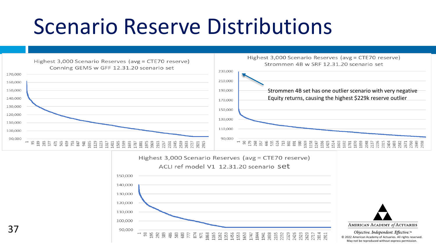### Scenario Reserve Distributions





37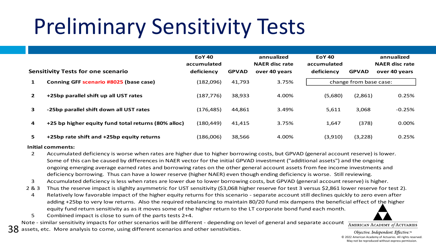# Preliminary Sensitivity Tests

|              | <b>Sensitivity Tests for one scenario</b>           | <b>EoY 40</b><br>accumulated<br>deficiency | <b>GPVAD</b> | annualized<br><b>NAER disc rate</b><br>over 40 years | <b>EoY 40</b><br>accumulated<br>deficiency | <b>GPVAD</b>           | annualized<br><b>NAER disc rate</b><br>over 40 years |
|--------------|-----------------------------------------------------|--------------------------------------------|--------------|------------------------------------------------------|--------------------------------------------|------------------------|------------------------------------------------------|
| 1            | Conning GFF scenario #8025 (base case)              | (182,096)                                  | 41,793       | 3.75%                                                |                                            | change from base case: |                                                      |
| $\mathbf{2}$ | +25bp parallel shift up all UST rates               | (187, 776)                                 | 38,933       | 4.00%                                                | (5,680)                                    | (2,861)                | 0.25%                                                |
| 3            | -25bp parallel shift down all UST rates             | (176, 485)                                 | 44,861       | 3.49%                                                | 5,611                                      | 3,068                  | $-0.25%$                                             |
| 4            | +25 bp higher equity fund total returns (80% alloc) | (180, 449)                                 | 41.415       | 3.75%                                                | 1,647                                      | (378)                  | 0.00%                                                |
| 5.           | +25bp rate shift and +25bp equity returns           | (186,006)                                  | 38,566       | 4.00%                                                | (3,910)                                    | (3,228)                | 0.25%                                                |

#### **Initial comments:**

- 2 Accumulated deficiency is worse when rates are higher due to higher borrowing costs, but GPVAD (general account reserve) is lower. Some of this can be caused by differences in NAER vector for the initial GPVAD investment ("additional assets") and the ongoing ongoing emerging average earned rates and borrowing rates on the other general account assets from fee income investments and deficiency borrowing. Thus can have a lower reserve (higher NAER) even though ending deficiency is worse. Still reviewing.
- 3 Accumulated deficiency is less when rates are lower due to lower borrowing costs, but GPVAD (general account reserve) is higher.
- 2 & 3 Thus the reserve impact is slighlty asymmetric for UST sensitivity (\$3,068 higher reserve for test 3 versus \$2,861 lower reserve for test 2).
	- 4 Relatively low favorable impact of the higher equity returns for this scenario separate account still declines quickly to zero even after adding +25bp to very low returns. Also the required rebalancing to maintain 80/20 fund mix dampens the beneficial effect of the higher equity fund return sensitivity as as it moves some of the higher return to the LT corporate bond fund each month.
	- 5 Combined impact is close to sum of the parts tests 2+4.

Note - similar sensitivity impacts for other scenarios will be different - depending on level of general and separate account

38 assets, etc. More analysis to come, using different scenarios and other senstivities.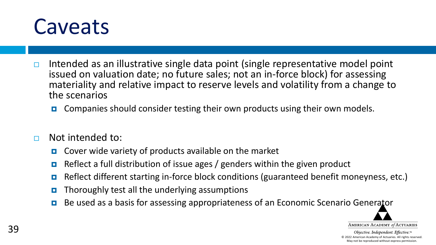#### **Caveats**

- Intended as an illustrative single data point (single representative model point issued on valuation date; no future sales; not an in-force block) for assessing materiality and relative impact to reserve levels and volatility from a change to the scenarios
	- **E** Companies should consider testing their own products using their own models.
- $\Box$  Not intended to:
	- $\Box$  Cover wide variety of products available on the market
	- **Reflect a full distribution of issue ages / genders within the given product**
	- Reflect different starting in-force block conditions (guaranteed benefit moneyness, etc.)
	- $\Box$  Thoroughly test all the underlying assumptions
	- Be used as a basis for assessing appropriateness of an Economic Scenario Generator